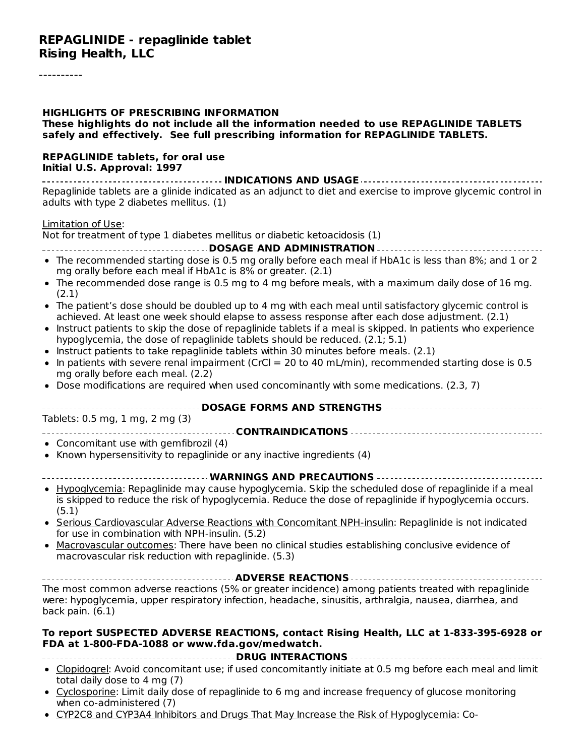#### **REPAGLINIDE - repaglinide tablet Rising Health, LLC**

#### **HIGHLIGHTS OF PRESCRIBING INFORMATION These highlights do not include all the information needed to use REPAGLINIDE TABLETS safely and effectively. See full prescribing information for REPAGLINIDE TABLETS.**

#### **REPAGLINIDE tablets, for oral use Initial U.S. Approval: 1997**

**INDICATIONS AND USAGE** Repaglinide tablets are a glinide indicated as an adjunct to diet and exercise to improve glycemic control in adults with type 2 diabetes mellitus. (1)

#### Limitation of Use:

Not for treatment of type 1 diabetes mellitus or diabetic ketoacidosis (1)

- **DOSAGE AND ADMINISTRATION**
- The recommended starting dose is 0.5 mg orally before each meal if HbA1c is less than 8%; and 1 or 2 mg orally before each meal if HbA1c is 8% or greater. (2.1)
- The recommended dose range is 0.5 mg to 4 mg before meals, with a maximum daily dose of 16 mg.  $\bullet$ (2.1)
- The patient's dose should be doubled up to 4 mg with each meal until satisfactory glycemic control is achieved. At least one week should elapse to assess response after each dose adjustment. (2.1)
- Instruct patients to skip the dose of repaglinide tablets if a meal is skipped. In patients who experience hypoglycemia, the dose of repaglinide tablets should be reduced. (2.1; 5.1)
- Instruct patients to take repaglinide tablets within 30 minutes before meals. (2.1)  $\bullet$
- In patients with severe renal impairment (CrCl = 20 to 40 mL/min), recommended starting dose is 0.5 mg orally before each meal. (2.2)
- Dose modifications are required when used concominantly with some medications. (2.3, 7)

#### **DOSAGE FORMS AND STRENGTHS**

Tablets: 0.5 mg, 1 mg, 2 mg (3)

#### **CONTRAINDICATIONS**

- Concomitant use with gemfibrozil (4)
- Known hypersensitivity to repaglinide or any inactive ingredients (4)

#### **WARNINGS AND PRECAUTIONS**

- Hypoglycemia: Repaglinide may cause hypoglycemia. Skip the scheduled dose of repaglinide if a meal is skipped to reduce the risk of hypoglycemia. Reduce the dose of repaglinide if hypoglycemia occurs. (5.1)
- Serious Cardiovascular Adverse Reactions with Concomitant NPH-insulin: Repaglinide is not indicated for use in combination with NPH-insulin. (5.2)
- Macrovascular outcomes: There have been no clinical studies establishing conclusive evidence of  $\bullet$ macrovascular risk reduction with repaglinide. (5.3)

**ADVERSE REACTIONS** The most common adverse reactions (5% or greater incidence) among patients treated with repaglinide were: hypoglycemia, upper respiratory infection, headache, sinusitis, arthralgia, nausea, diarrhea, and back pain. (6.1)

#### **To report SUSPECTED ADVERSE REACTIONS, contact Rising Health, LLC at 1-833-395-6928 or FDA at 1-800-FDA-1088 or www.fda.gov/medwatch.**

#### **DRUG INTERACTIONS**

- Clopidogrel: Avoid concomitant use; if used concomitantly initiate at 0.5 mg before each meal and limit total daily dose to 4 mg (7)
- Cyclosporine: Limit daily dose of repaglinide to 6 mg and increase frequency of glucose monitoring when co-administered (7)
- CYP2C8 and CYP3A4 Inhibitors and Drugs That May Increase the Risk of Hypoglycemia: Co-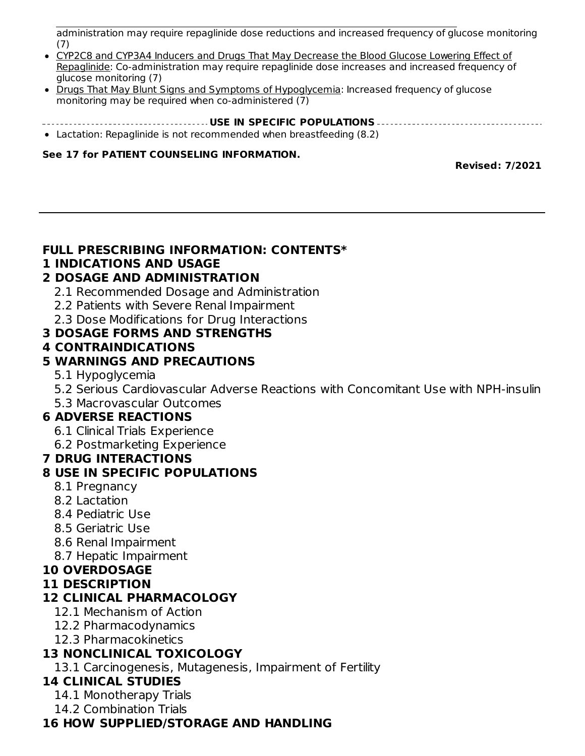CYP2C8 and CYP3A4 Inhibitors and Drugs That May Increase the Risk of Hypoglycemia: Coadministration may require repaglinide dose reductions and increased frequency of glucose monitoring (7)

- CYP2C8 and CYP3A4 Inducers and Drugs That May Decrease the Blood Glucose Lowering Effect of Repaglinide: Co-administration may require repaglinide dose increases and increased frequency of glucose monitoring (7)
- Drugs That May Blunt Signs and Symptoms of Hypoglycemia: Increased frequency of glucose monitoring may be required when co-administered (7)
- **USE IN SPECIFIC POPULATIONS** Lactation: Repaglinide is not recommended when breastfeeding (8.2)

#### **See 17 for PATIENT COUNSELING INFORMATION.**

**Revised: 7/2021**

#### **FULL PRESCRIBING INFORMATION: CONTENTS\***

### **1 INDICATIONS AND USAGE**

### **2 DOSAGE AND ADMINISTRATION**

- 2.1 Recommended Dosage and Administration
- 2.2 Patients with Severe Renal Impairment
- 2.3 Dose Modifications for Drug Interactions

#### **3 DOSAGE FORMS AND STRENGTHS**

#### **4 CONTRAINDICATIONS**

### **5 WARNINGS AND PRECAUTIONS**

- 5.1 Hypoglycemia
- 5.2 Serious Cardiovascular Adverse Reactions with Concomitant Use with NPH-insulin
- 5.3 Macrovascular Outcomes

### **6 ADVERSE REACTIONS**

- 6.1 Clinical Trials Experience
- 6.2 Postmarketing Experience

### **7 DRUG INTERACTIONS**

### **8 USE IN SPECIFIC POPULATIONS**

- 8.1 Pregnancy
- 8.2 Lactation
- 8.4 Pediatric Use
- 8.5 Geriatric Use
- 8.6 Renal Impairment
- 8.7 Hepatic Impairment

### **10 OVERDOSAGE**

### **11 DESCRIPTION**

### **12 CLINICAL PHARMACOLOGY**

- 12.1 Mechanism of Action
- 12.2 Pharmacodynamics
- 12.3 Pharmacokinetics

### **13 NONCLINICAL TOXICOLOGY**

13.1 Carcinogenesis, Mutagenesis, Impairment of Fertility

### **14 CLINICAL STUDIES**

- 14.1 Monotherapy Trials
- 14.2 Combination Trials

### **16 HOW SUPPLIED/STORAGE AND HANDLING**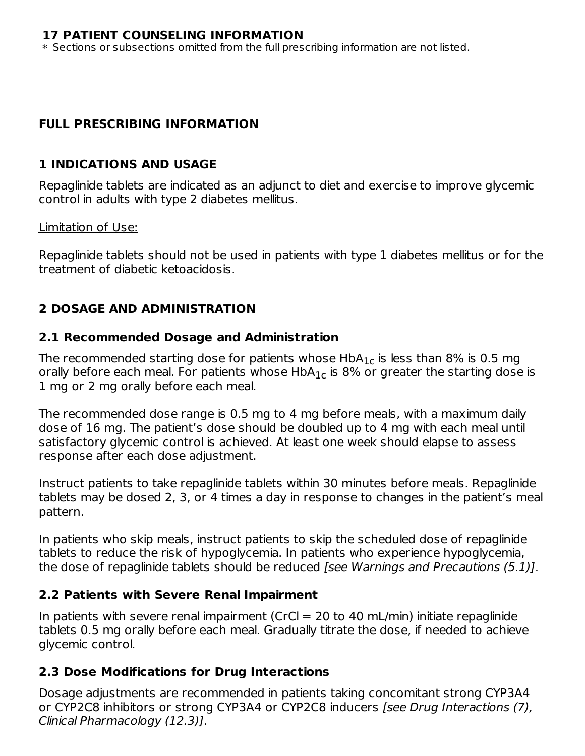#### **17 PATIENT COUNSELING INFORMATION**

**16 HOW SUPPLIED/STORAGE AND HANDLING**

\* Sections or subsections omitted from the full prescribing information are not listed.

### **FULL PRESCRIBING INFORMATION**

### **1 INDICATIONS AND USAGE**

Repaglinide tablets are indicated as an adjunct to diet and exercise to improve glycemic control in adults with type 2 diabetes mellitus.

#### Limitation of Use:

Repaglinide tablets should not be used in patients with type 1 diabetes mellitus or for the treatment of diabetic ketoacidosis.

### **2 DOSAGE AND ADMINISTRATION**

### **2.1 Recommended Dosage and Administration**

The recommended starting dose for patients whose  $\sf HbA_{1c}$  is less than 8% is 0.5 mg orally before each meal. For patients whose  $\sf HbA_{1c}$  is 8% or greater the starting dose is 1 mg or 2 mg orally before each meal.

The recommended dose range is 0.5 mg to 4 mg before meals, with a maximum daily dose of 16 mg. The patient's dose should be doubled up to 4 mg with each meal until satisfactory glycemic control is achieved. At least one week should elapse to assess response after each dose adjustment.

Instruct patients to take repaglinide tablets within 30 minutes before meals. Repaglinide tablets may be dosed 2, 3, or 4 times a day in response to changes in the patient's meal pattern.

In patients who skip meals, instruct patients to skip the scheduled dose of repaglinide tablets to reduce the risk of hypoglycemia. In patients who experience hypoglycemia, the dose of repaglinide tablets should be reduced [see Warnings and Precautions (5.1)].

### **2.2 Patients with Severe Renal Impairment**

In patients with severe renal impairment (CrCl  $=$  20 to 40 mL/min) initiate repaglinide tablets 0.5 mg orally before each meal. Gradually titrate the dose, if needed to achieve glycemic control.

### **2.3 Dose Modifications for Drug Interactions**

Dosage adjustments are recommended in patients taking concomitant strong CYP3A4 or CYP2C8 inhibitors or strong CYP3A4 or CYP2C8 inducers [see Drug Interactions (7), Clinical Pharmacology (12.3)].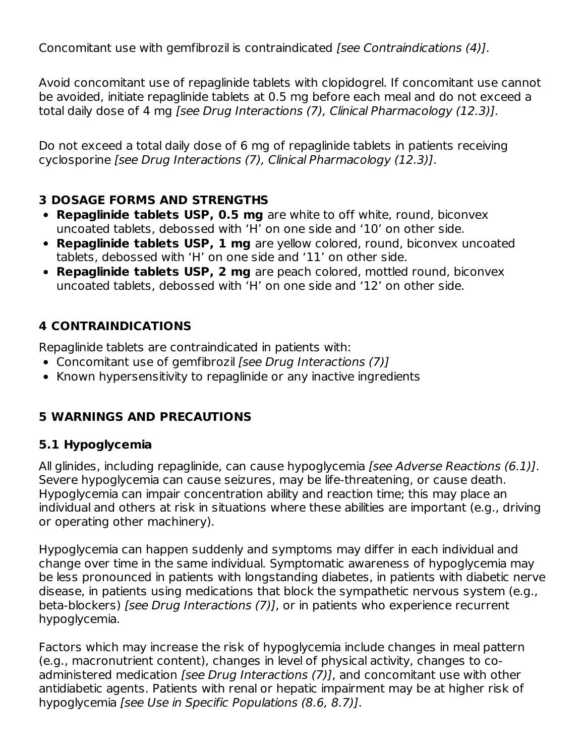Concomitant use with gemfibrozil is contraindicated [see Contraindications (4)].

Avoid concomitant use of repaglinide tablets with clopidogrel. If concomitant use cannot be avoided, initiate repaglinide tablets at 0.5 mg before each meal and do not exceed a total daily dose of 4 mg [see Drug Interactions (7), Clinical Pharmacology (12.3)].

Do not exceed a total daily dose of 6 mg of repaglinide tablets in patients receiving cyclosporine [see Drug Interactions (7), Clinical Pharmacology (12.3)].

### **3 DOSAGE FORMS AND STRENGTHS**

- **Repaglinide tablets USP, 0.5 mg** are white to off white, round, biconvex uncoated tablets, debossed with 'H' on one side and '10' on other side.
- **Repaglinide tablets USP, 1 mg** are yellow colored, round, biconvex uncoated tablets, debossed with 'H' on one side and '11' on other side.
- **Repaglinide tablets USP, 2 mg** are peach colored, mottled round, biconvex uncoated tablets, debossed with 'H' on one side and '12' on other side.

### **4 CONTRAINDICATIONS**

Repaglinide tablets are contraindicated in patients with:

- Concomitant use of gemfibrozil [see Drug Interactions (7)]
- Known hypersensitivity to repaglinide or any inactive ingredients

### **5 WARNINGS AND PRECAUTIONS**

### **5.1 Hypoglycemia**

All glinides, including repaglinide, can cause hypoglycemia *[see Adverse Reactions (6.1)]*. Severe hypoglycemia can cause seizures, may be life-threatening, or cause death. Hypoglycemia can impair concentration ability and reaction time; this may place an individual and others at risk in situations where these abilities are important (e.g., driving or operating other machinery).

Hypoglycemia can happen suddenly and symptoms may differ in each individual and change over time in the same individual. Symptomatic awareness of hypoglycemia may be less pronounced in patients with longstanding diabetes, in patients with diabetic nerve disease, in patients using medications that block the sympathetic nervous system (e.g., beta-blockers) [see Drug Interactions (7)], or in patients who experience recurrent hypoglycemia.

Factors which may increase the risk of hypoglycemia include changes in meal pattern (e.g., macronutrient content), changes in level of physical activity, changes to coadministered medication [see Drug Interactions (7)], and concomitant use with other antidiabetic agents. Patients with renal or hepatic impairment may be at higher risk of hypoglycemia [see Use in Specific Populations (8.6, 8.7)].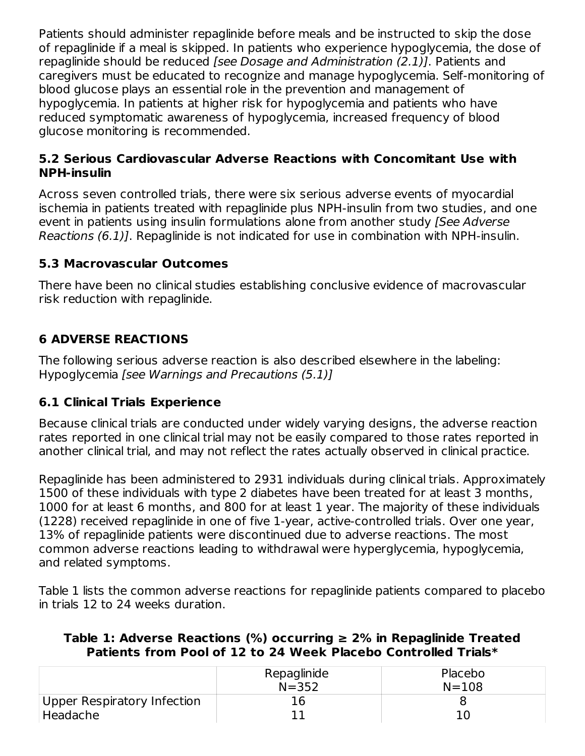Patients should administer repaglinide before meals and be instructed to skip the dose of repaglinide if a meal is skipped. In patients who experience hypoglycemia, the dose of repaglinide should be reduced [see Dosage and Administration (2.1)]. Patients and caregivers must be educated to recognize and manage hypoglycemia. Self-monitoring of blood glucose plays an essential role in the prevention and management of hypoglycemia. In patients at higher risk for hypoglycemia and patients who have reduced symptomatic awareness of hypoglycemia, increased frequency of blood glucose monitoring is recommended.

### **5.2 Serious Cardiovascular Adverse Reactions with Concomitant Use with NPH-insulin**

Across seven controlled trials, there were six serious adverse events of myocardial ischemia in patients treated with repaglinide plus NPH-insulin from two studies, and one event in patients using insulin formulations alone from another study (See Adverse Reactions (6.1)]. Repaglinide is not indicated for use in combination with NPH-insulin.

### **5.3 Macrovascular Outcomes**

There have been no clinical studies establishing conclusive evidence of macrovascular risk reduction with repaglinide.

# **6 ADVERSE REACTIONS**

The following serious adverse reaction is also described elsewhere in the labeling: Hypoglycemia [see Warnings and Precautions (5.1)]

### **6.1 Clinical Trials Experience**

Because clinical trials are conducted under widely varying designs, the adverse reaction rates reported in one clinical trial may not be easily compared to those rates reported in another clinical trial, and may not reflect the rates actually observed in clinical practice.

Repaglinide has been administered to 2931 individuals during clinical trials. Approximately 1500 of these individuals with type 2 diabetes have been treated for at least 3 months, 1000 for at least 6 months, and 800 for at least 1 year. The majority of these individuals (1228) received repaglinide in one of five 1-year, active-controlled trials. Over one year, 13% of repaglinide patients were discontinued due to adverse reactions. The most common adverse reactions leading to withdrawal were hyperglycemia, hypoglycemia, and related symptoms.

Table 1 lists the common adverse reactions for repaglinide patients compared to placebo in trials 12 to 24 weeks duration.

### **Table 1: Adverse Reactions (%) occurring ≥ 2% in Repaglinide Treated Patients from Pool of 12 to 24 Week Placebo Controlled Trials\***

|                             | Repaglinide | Placebo   |
|-----------------------------|-------------|-----------|
|                             | $N = 352$   | $N = 108$ |
| Upper Respiratory Infection | 16          |           |
| Headache                    |             |           |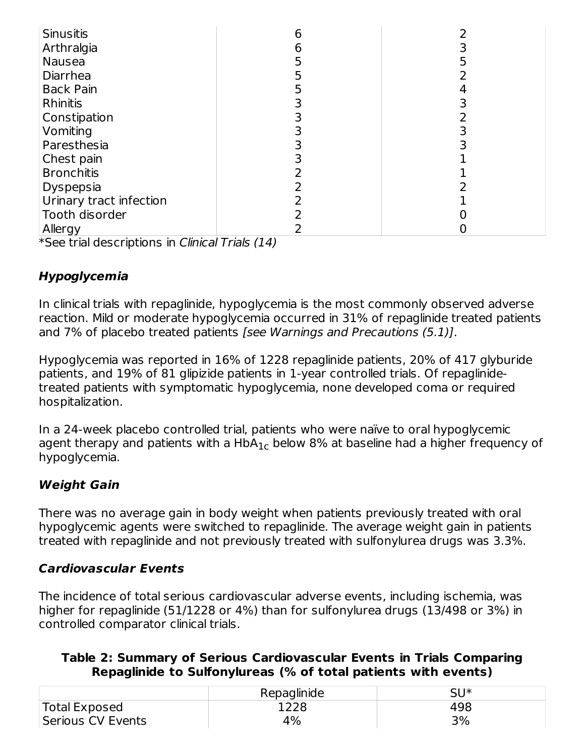| Sinusitis               |  |
|-------------------------|--|
| Arthralgia              |  |
| Nausea                  |  |
| Diarrhea                |  |
| <b>Back Pain</b>        |  |
| <b>Rhinitis</b>         |  |
| Constipation            |  |
| Vomiting                |  |
| Paresthesia             |  |
| Chest pain              |  |
| <b>Bronchitis</b>       |  |
| Dyspepsia               |  |
| Urinary tract infection |  |
| Tooth disorder          |  |
| Allergy                 |  |

\*See trial descriptions in Clinical Trials (14)

### **Hypoglycemia**

In clinical trials with repaglinide, hypoglycemia is the most commonly observed adverse reaction. Mild or moderate hypoglycemia occurred in 31% of repaglinide treated patients and 7% of placebo treated patients [see Warnings and Precautions (5.1)].

Hypoglycemia was reported in 16% of 1228 repaglinide patients, 20% of 417 glyburide patients, and 19% of 81 glipizide patients in 1-year controlled trials. Of repaglinidetreated patients with symptomatic hypoglycemia, none developed coma or required hospitalization.

In a 24-week placebo controlled trial, patients who were naïve to oral hypoglycemic agent therapy and patients with a HbA $_{\rm 1c}$  below 8% at baseline had a higher frequency of hypoglycemia.

### **Weight Gain**

There was no average gain in body weight when patients previously treated with oral hypoglycemic agents were switched to repaglinide. The average weight gain in patients treated with repaglinide and not previously treated with sulfonylurea drugs was 3.3%.

### **Cardiovascular Events**

The incidence of total serious cardiovascular adverse events, including ischemia, was higher for repaglinide (51/1228 or 4%) than for sulfonylurea drugs (13/498 or 3%) in controlled comparator clinical trials.

| Table 2: Summary of Serious Cardiovascular Events in Trials Comparing |
|-----------------------------------------------------------------------|
| Repaglinide to Sulfonylureas (% of total patients with events)        |

|                   | Repaglinide | SU* |
|-------------------|-------------|-----|
| Total Exposed     | 1228        | 498 |
| Serious CV Events | 4%          | 3%  |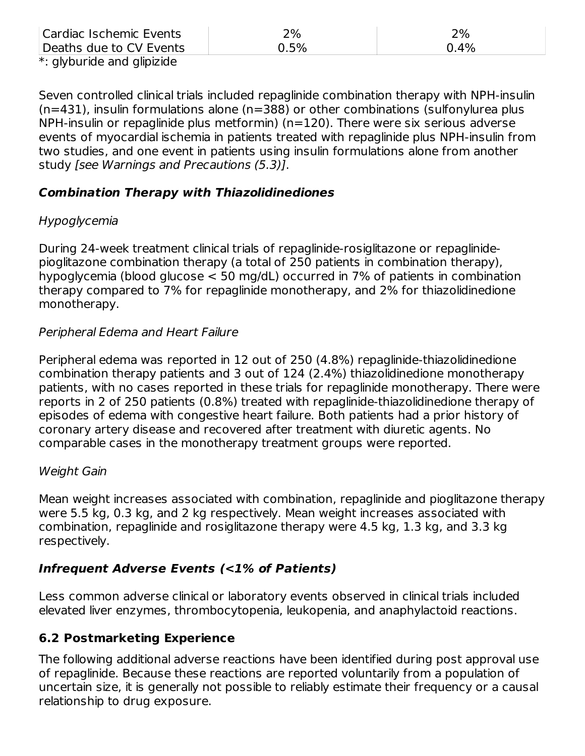| Cardiac Ischemic Events    | 2%   | 2%      |
|----------------------------|------|---------|
| Deaths due to CV Events    | 0.5% | $0.4\%$ |
| *: glyburide and glipizide |      |         |

Seven controlled clinical trials included repaglinide combination therapy with NPH-insulin (n=431), insulin formulations alone (n=388) or other combinations (sulfonylurea plus NPH-insulin or repaglinide plus metformin) (n=120). There were six serious adverse events of myocardial ischemia in patients treated with repaglinide plus NPH-insulin from two studies, and one event in patients using insulin formulations alone from another study [see Warnings and Precautions (5.3)].

#### **Combination Therapy with Thiazolidinediones**

### Hypoglycemia

During 24-week treatment clinical trials of repaglinide-rosiglitazone or repaglinidepioglitazone combination therapy (a total of 250 patients in combination therapy), hypoglycemia (blood glucose < 50 mg/dL) occurred in 7% of patients in combination therapy compared to 7% for repaglinide monotherapy, and 2% for thiazolidinedione monotherapy.

### Peripheral Edema and Heart Failure

Peripheral edema was reported in 12 out of 250 (4.8%) repaglinide-thiazolidinedione combination therapy patients and 3 out of 124 (2.4%) thiazolidinedione monotherapy patients, with no cases reported in these trials for repaglinide monotherapy. There were reports in 2 of 250 patients (0.8%) treated with repaglinide-thiazolidinedione therapy of episodes of edema with congestive heart failure. Both patients had a prior history of coronary artery disease and recovered after treatment with diuretic agents. No comparable cases in the monotherapy treatment groups were reported.

### Weight Gain

Mean weight increases associated with combination, repaglinide and pioglitazone therapy were 5.5 kg, 0.3 kg, and 2 kg respectively. Mean weight increases associated with combination, repaglinide and rosiglitazone therapy were 4.5 kg, 1.3 kg, and 3.3 kg respectively.

### **Infrequent Adverse Events (<1% of Patients)**

Less common adverse clinical or laboratory events observed in clinical trials included elevated liver enzymes, thrombocytopenia, leukopenia, and anaphylactoid reactions.

### **6.2 Postmarketing Experience**

The following additional adverse reactions have been identified during post approval use of repaglinide. Because these reactions are reported voluntarily from a population of uncertain size, it is generally not possible to reliably estimate their frequency or a causal relationship to drug exposure.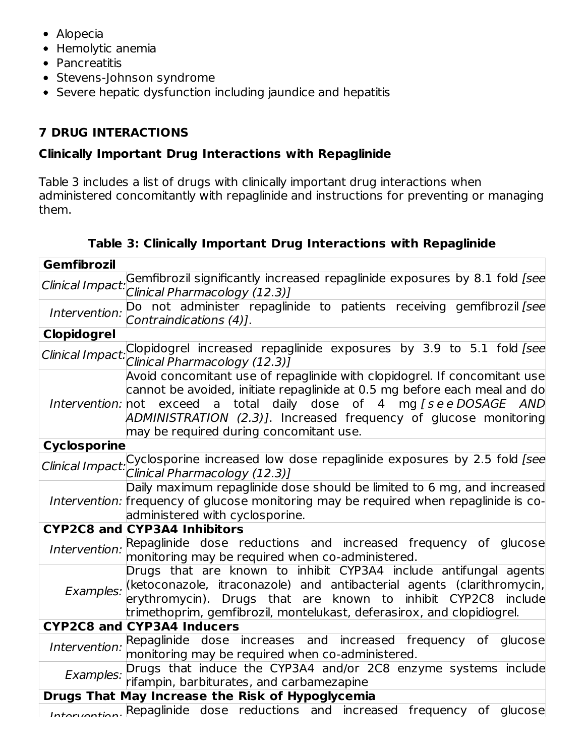- Alopecia
- Hemolytic anemia
- Pancreatitis
- Stevens-Johnson syndrome
- Severe hepatic dysfunction including jaundice and hepatitis

# **7 DRUG INTERACTIONS**

# **Clinically Important Drug Interactions with Repaglinide**

Table 3 includes a list of drugs with clinically important drug interactions when administered concomitantly with repaglinide and instructions for preventing or managing them.

|  |  | Table 3: Clinically Important Drug Interactions with Repaglinide |  |
|--|--|------------------------------------------------------------------|--|
|  |  |                                                                  |  |

| <b>Gemfibrozil</b>  |                                                                                                                                                                                                                                                                                                                                              |
|---------------------|----------------------------------------------------------------------------------------------------------------------------------------------------------------------------------------------------------------------------------------------------------------------------------------------------------------------------------------------|
| Clinical Impact.    | Gemfibrozil significantly increased repaglinide exposures by 8.1 fold [see<br>Clinical Pharmacology (12.3)]                                                                                                                                                                                                                                  |
| Intervention:       | Do not administer repaglinide to patients receiving gemfibrozil [see<br>Contraindications (4)].                                                                                                                                                                                                                                              |
| <b>Clopidogrel</b>  |                                                                                                                                                                                                                                                                                                                                              |
|                     | Clinical Impact: Clopidogrel increased repaglinide exposures by 3.9 to 5.1 fold [see<br>Clinical Pharmacology (12.3)]                                                                                                                                                                                                                        |
|                     | Avoid concomitant use of repaglinide with clopidogrel. If concomitant use<br>cannot be avoided, initiate repaglinide at 0.5 mg before each meal and do<br>Intervention: not exceed a total daily dose of 4 mg [see DOSAGE AND<br>ADMINISTRATION (2.3)]. Increased frequency of glucose monitoring<br>may be required during concomitant use. |
| <b>Cyclosporine</b> |                                                                                                                                                                                                                                                                                                                                              |
|                     | Clinical Impact: Cyclosporine increased low dose repaglinide exposures by 2.5 fold [see<br>Clinical Pharmacology (12.3)]                                                                                                                                                                                                                     |
|                     | Daily maximum repaglinide dose should be limited to 6 mg, and increased<br>Intervention: frequency of glucose monitoring may be required when repaglinide is co-<br>administered with cyclosporine.                                                                                                                                          |
|                     | <b>CYP2C8 and CYP3A4 Inhibitors</b>                                                                                                                                                                                                                                                                                                          |
| Intervention:       | Repaglinide dose reductions and increased frequency of glucose<br>monitoring may be required when co-administered.                                                                                                                                                                                                                           |
| Examples:           | Drugs that are known to inhibit CYP3A4 include antifungal agents<br>(ketoconazole, itraconazole) and antibacterial agents (clarithromycin,<br>erythromycin). Drugs that are known to inhibit CYP2C8 include<br>trimethoprim, gemfibrozil, montelukast, deferasirox, and clopidiogrel.                                                        |
|                     | <b>CYP2C8 and CYP3A4 Inducers</b>                                                                                                                                                                                                                                                                                                            |
|                     | Intervention: Repaglinide dose increases and increased frequency of glucose<br>monitoring may be required when co-administered.                                                                                                                                                                                                              |
| Examples:           | Drugs that induce the CYP3A4 and/or 2C8 enzyme systems include<br>rifampin, barbiturates, and carbamezapine                                                                                                                                                                                                                                  |
|                     | Drugs That May Increase the Risk of Hypoglycemia                                                                                                                                                                                                                                                                                             |
|                     | Intervention. Repaglinide dose reductions and increased frequency of glucose                                                                                                                                                                                                                                                                 |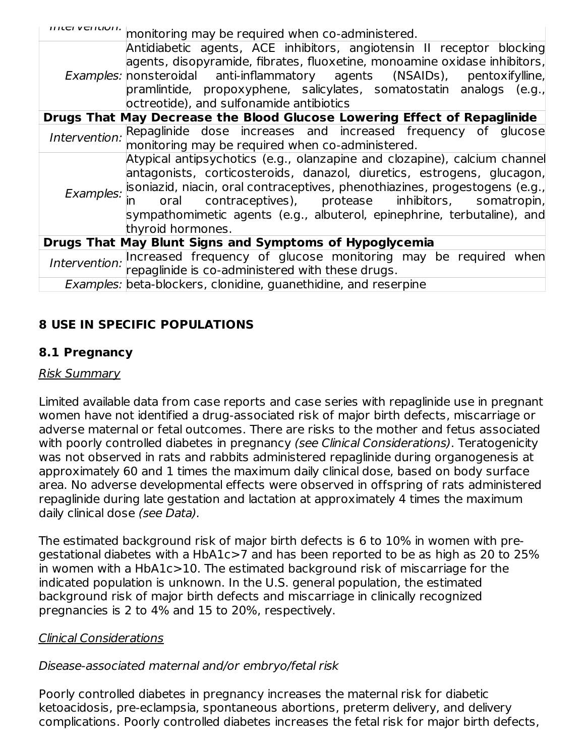|                   | monitoring may be required when co-administered.                                     |  |  |
|-------------------|--------------------------------------------------------------------------------------|--|--|
|                   | Antidiabetic agents, ACE inhibitors, angiotensin II receptor blocking                |  |  |
|                   | agents, disopyramide, fibrates, fluoxetine, monoamine oxidase inhibitors,            |  |  |
|                   | Examples: nonsteroidal anti-inflammatory agents (NSAIDs), pentoxifylline,            |  |  |
|                   | pramlintide, propoxyphene, salicylates, somatostatin analogs (e.g.,                  |  |  |
|                   | octreotide), and sulfonamide antibiotics                                             |  |  |
|                   | Drugs That May Decrease the Blood Glucose Lowering Effect of Repaglinide             |  |  |
|                   | Intervention: Repaglinide dose increases and increased frequency of glucose          |  |  |
|                   | monitoring may be required when co-administered.                                     |  |  |
|                   | Atypical antipsychotics (e.g., olanzapine and clozapine), calcium channel            |  |  |
|                   | antagonists, corticosteroids, danazol, diuretics, estrogens, glucagon,               |  |  |
|                   | Examples: soniazid, niacin, oral contraceptives, phenothiazines, progestogens (e.g., |  |  |
|                   | oral contraceptives), protease inhibitors, somatropin,                               |  |  |
|                   | sympathomimetic agents (e.g., albuterol, epinephrine, terbutaline), and              |  |  |
| thyroid hormones. |                                                                                      |  |  |
|                   | Drugs That May Blunt Signs and Symptoms of Hypoglycemia                              |  |  |
|                   |                                                                                      |  |  |
|                   | Intervention: Increased frequency of glucose monitoring may be required when         |  |  |
|                   | <i>Examples:</i> beta-blockers, clonidine, guanethidine, and reserpine               |  |  |

### **8 USE IN SPECIFIC POPULATIONS**

### **8.1 Pregnancy**

#### Risk Summary

Limited available data from case reports and case series with repaglinide use in pregnant women have not identified a drug-associated risk of major birth defects, miscarriage or adverse maternal or fetal outcomes. There are risks to the mother and fetus associated with poorly controlled diabetes in pregnancy (see Clinical Considerations). Teratogenicity was not observed in rats and rabbits administered repaglinide during organogenesis at approximately 60 and 1 times the maximum daily clinical dose, based on body surface area. No adverse developmental effects were observed in offspring of rats administered repaglinide during late gestation and lactation at approximately 4 times the maximum daily clinical dose (see Data).

The estimated background risk of major birth defects is 6 to 10% in women with pregestational diabetes with a HbA1c>7 and has been reported to be as high as 20 to 25% in women with a HbA1c>10. The estimated background risk of miscarriage for the indicated population is unknown. In the U.S. general population, the estimated background risk of major birth defects and miscarriage in clinically recognized pregnancies is 2 to 4% and 15 to 20%, respectively.

#### Clinical Considerations

### Disease-associated maternal and/or embryo/fetal risk

Poorly controlled diabetes in pregnancy increases the maternal risk for diabetic ketoacidosis, pre-eclampsia, spontaneous abortions, preterm delivery, and delivery complications. Poorly controlled diabetes increases the fetal risk for major birth defects,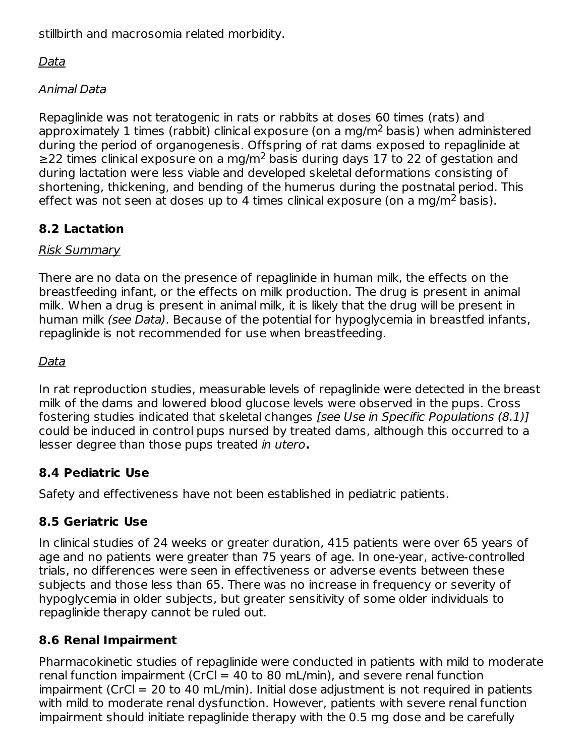stillbirth and macrosomia related morbidity.

Data

Animal Data

Repaglinide was not teratogenic in rats or rabbits at doses 60 times (rats) and approximately 1 times (rabbit) clinical exposure (on a mg/m<sup>2</sup> basis) when administered during the period of organogenesis. Offspring of rat dams exposed to repaglinide at ≥22 times clinical exposure on a mg/m<sup>2</sup> basis during days 17 to 22 of gestation and during lactation were less viable and developed skeletal deformations consisting of shortening, thickening, and bending of the humerus during the postnatal period. This effect was not seen at doses up to 4 times clinical exposure (on a mg/m<sup>2</sup> basis).

# **8.2 Lactation**

### Risk Summary

There are no data on the presence of repaglinide in human milk, the effects on the breastfeeding infant, or the effects on milk production. The drug is present in animal milk. When a drug is present in animal milk, it is likely that the drug will be present in human milk *(see Data)*. Because of the potential for hypoglycemia in breastfed infants, repaglinide is not recommended for use when breastfeeding.

# Data

In rat reproduction studies, measurable levels of repaglinide were detected in the breast milk of the dams and lowered blood glucose levels were observed in the pups. Cross fostering studies indicated that skeletal changes [see Use in Specific Populations (8.1)] could be induced in control pups nursed by treated dams, although this occurred to a lesser degree than those pups treated in utero**.**

# **8.4 Pediatric Use**

Safety and effectiveness have not been established in pediatric patients.

# **8.5 Geriatric Use**

In clinical studies of 24 weeks or greater duration, 415 patients were over 65 years of age and no patients were greater than 75 years of age. In one-year, active-controlled trials, no differences were seen in effectiveness or adverse events between these subjects and those less than 65. There was no increase in frequency or severity of hypoglycemia in older subjects, but greater sensitivity of some older individuals to repaglinide therapy cannot be ruled out.

# **8.6 Renal Impairment**

Pharmacokinetic studies of repaglinide were conducted in patients with mild to moderate renal function impairment (CrCl = 40 to 80 mL/min), and severe renal function impairment (CrCl = 20 to 40 mL/min). Initial dose adjustment is not required in patients with mild to moderate renal dysfunction. However, patients with severe renal function impairment should initiate repaglinide therapy with the 0.5 mg dose and be carefully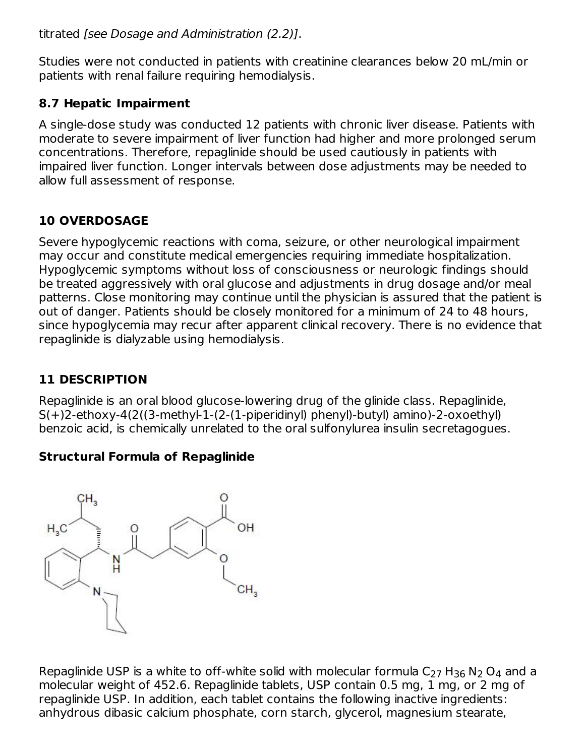titrated [see Dosage and Administration (2.2)].

Studies were not conducted in patients with creatinine clearances below 20 mL/min or patients with renal failure requiring hemodialysis.

### **8.7 Hepatic Impairment**

A single-dose study was conducted 12 patients with chronic liver disease. Patients with moderate to severe impairment of liver function had higher and more prolonged serum concentrations. Therefore, repaglinide should be used cautiously in patients with impaired liver function. Longer intervals between dose adjustments may be needed to allow full assessment of response.

### **10 OVERDOSAGE**

Severe hypoglycemic reactions with coma, seizure, or other neurological impairment may occur and constitute medical emergencies requiring immediate hospitalization. Hypoglycemic symptoms without loss of consciousness or neurologic findings should be treated aggressively with oral glucose and adjustments in drug dosage and/or meal patterns. Close monitoring may continue until the physician is assured that the patient is out of danger. Patients should be closely monitored for a minimum of 24 to 48 hours, since hypoglycemia may recur after apparent clinical recovery. There is no evidence that repaglinide is dialyzable using hemodialysis.

## **11 DESCRIPTION**

Repaglinide is an oral blood glucose-lowering drug of the glinide class. Repaglinide, S(+)2-ethoxy-4(2((3-methyl-1-(2-(1-piperidinyl) phenyl)-butyl) amino)-2-oxoethyl) benzoic acid, is chemically unrelated to the oral sulfonylurea insulin secretagogues.

### **Structural Formula of Repaglinide**



Repaglinide USP is a white to off-white solid with molecular formula C<sub>27</sub> H<sub>36</sub> N<sub>2</sub> O<sub>4</sub> and a molecular weight of 452.6. Repaglinide tablets, USP contain 0.5 mg, 1 mg, or 2 mg of repaglinide USP. In addition, each tablet contains the following inactive ingredients: anhydrous dibasic calcium phosphate, corn starch, glycerol, magnesium stearate,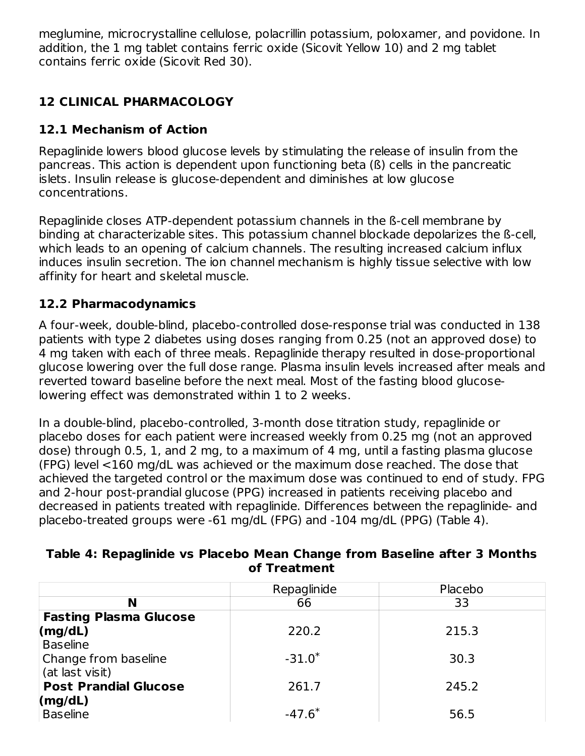meglumine, microcrystalline cellulose, polacrillin potassium, poloxamer, and povidone. In addition, the 1 mg tablet contains ferric oxide (Sicovit Yellow 10) and 2 mg tablet contains ferric oxide (Sicovit Red 30).

## **12 CLINICAL PHARMACOLOGY**

### **12.1 Mechanism of Action**

Repaglinide lowers blood glucose levels by stimulating the release of insulin from the pancreas. This action is dependent upon functioning beta (ß) cells in the pancreatic islets. Insulin release is glucose-dependent and diminishes at low glucose concentrations.

Repaglinide closes ATP-dependent potassium channels in the ß-cell membrane by binding at characterizable sites. This potassium channel blockade depolarizes the ß-cell, which leads to an opening of calcium channels. The resulting increased calcium influx induces insulin secretion. The ion channel mechanism is highly tissue selective with low affinity for heart and skeletal muscle.

### **12.2 Pharmacodynamics**

A four-week, double-blind, placebo-controlled dose-response trial was conducted in 138 patients with type 2 diabetes using doses ranging from 0.25 (not an approved dose) to 4 mg taken with each of three meals. Repaglinide therapy resulted in dose-proportional glucose lowering over the full dose range. Plasma insulin levels increased after meals and reverted toward baseline before the next meal. Most of the fasting blood glucoselowering effect was demonstrated within 1 to 2 weeks.

In a double-blind, placebo-controlled, 3-month dose titration study, repaglinide or placebo doses for each patient were increased weekly from 0.25 mg (not an approved dose) through 0.5, 1, and 2 mg, to a maximum of 4 mg, until a fasting plasma glucose (FPG) level <160 mg/dL was achieved or the maximum dose reached. The dose that achieved the targeted control or the maximum dose was continued to end of study. FPG and 2-hour post-prandial glucose (PPG) increased in patients receiving placebo and decreased in patients treated with repaglinide. Differences between the repaglinide- and placebo-treated groups were -61 mg/dL (FPG) and -104 mg/dL (PPG) (Table 4).

|                               | Repaglinide | Placebo |
|-------------------------------|-------------|---------|
| N                             | 66          | 33      |
| <b>Fasting Plasma Glucose</b> |             |         |
| (mg/dL)                       | 220.2       | 215.3   |
| <b>Baseline</b>               |             |         |
| Change from baseline          | $-31.0*$    | 30.3    |
| (at last visit)               |             |         |
| <b>Post Prandial Glucose</b>  | 261.7       | 245.2   |
| (mg/dL)                       |             |         |
| <b>Baseline</b>               | $-47.6*$    | 56.5    |

### **Table 4: Repaglinide vs Placebo Mean Change from Baseline after 3 Months of Treatment**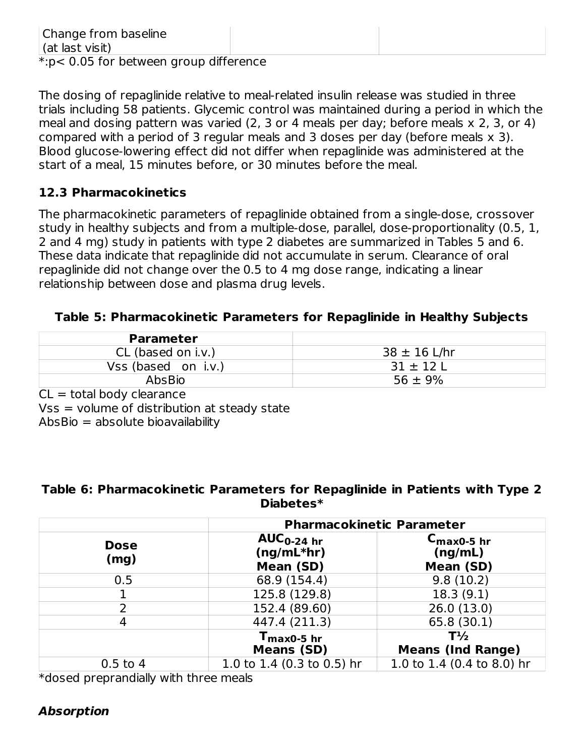The dosing of repaglinide relative to meal-related insulin release was studied in three trials including 58 patients. Glycemic control was maintained during a period in which the meal and dosing pattern was varied (2, 3 or 4 meals per day; before meals x 2, 3, or 4) compared with a period of 3 regular meals and 3 doses per day (before meals x 3). Blood glucose-lowering effect did not differ when repaglinide was administered at the start of a meal, 15 minutes before, or 30 minutes before the meal.

### **12.3 Pharmacokinetics**

The pharmacokinetic parameters of repaglinide obtained from a single-dose, crossover study in healthy subjects and from a multiple-dose, parallel, dose-proportionality (0.5, 1, 2 and 4 mg) study in patients with type 2 diabetes are summarized in Tables 5 and 6. These data indicate that repaglinide did not accumulate in serum. Clearance of oral repaglinide did not change over the 0.5 to 4 mg dose range, indicating a linear relationship between dose and plasma drug levels.

#### **Table 5: Pharmacokinetic Parameters for Repaglinide in Healthy Subjects**

| <b>Parameter</b>    |                  |
|---------------------|------------------|
| CL (based on i.v.)  | $38 \pm 16$ L/hr |
| Vss (based on i.v.) | $31 \pm 12$ L    |
| <b>AbsBio</b>       | $56 \pm 9\%$     |

 $CL = total body$  clearance  $Vss = volume of distribution at steady state$  $\Delta b$ s $\Delta b =$  absolute bioavailability

#### **Table 6: Pharmacokinetic Parameters for Repaglinide in Patients with Type 2 Diabetes\***

|                     | <b>Pharmacokinetic Parameter</b>             |                                                |  |  |
|---------------------|----------------------------------------------|------------------------------------------------|--|--|
| <b>Dose</b><br>(mg) | $AUC_{0-24}$ hr<br>$(ng/mL*hr)$<br>Mean (SD) | $C_{\text{max0-5}}$ hr<br>(ng/mL)<br>Mean (SD) |  |  |
| 0.5                 | 68.9 (154.4)                                 | 9.8(10.2)                                      |  |  |
|                     | 125.8 (129.8)                                | 18.3(9.1)                                      |  |  |
|                     | 152.4 (89.60)                                | 26.0(13.0)                                     |  |  |
|                     | 447.4 (211.3)                                | 65.8 (30.1)                                    |  |  |
|                     | $T_{\text{max0-5 hr}}$<br><b>Means (SD)</b>  | $T\frac{1}{2}$<br><b>Means (Ind Range)</b>     |  |  |
| $0.5$ to $4$        | 1.0 to 1.4 (0.3 to 0.5) hr                   | 1.0 to 1.4 (0.4 to 8.0) hr                     |  |  |

\*dosed preprandially with three meals

### **Absorption**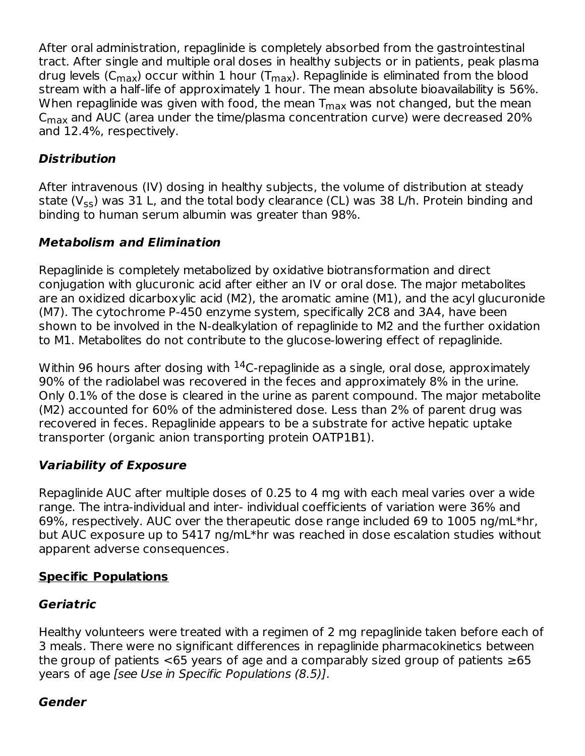After oral administration, repaglinide is completely absorbed from the gastrointestinal tract. After single and multiple oral doses in healthy subjects or in patients, peak plasma drug levels (C<sub>max</sub>) occur within 1 hour (T<sub>max</sub>). Repaglinide is eliminated from the blood stream with a half-life of approximately 1 hour. The mean absolute bioavailability is 56%. When repaglinide was given with food, the mean  $\mathsf{T}_{\mathsf{max}}$  was not changed, but the mean  $\mathsf{C}_{\mathsf{max}}$  and AUC (area under the time/plasma concentration curve) were decreased 20% and 12.4%, respectively.

### **Distribution**

After intravenous (IV) dosing in healthy subjects, the volume of distribution at steady state (V<sub>ss</sub>) was 31 L, and the total body clearance (CL) was 38 L/h. Protein binding and binding to human serum albumin was greater than 98%.

### **Metabolism and Elimination**

Repaglinide is completely metabolized by oxidative biotransformation and direct conjugation with glucuronic acid after either an IV or oral dose. The major metabolites are an oxidized dicarboxylic acid (M2), the aromatic amine (M1), and the acyl glucuronide (M7). The cytochrome P-450 enzyme system, specifically 2C8 and 3A4, have been shown to be involved in the N-dealkylation of repaglinide to M2 and the further oxidation to M1. Metabolites do not contribute to the glucose-lowering effect of repaglinide.

Within 96 hours after dosing with  $^{14}$ C-repaglinide as a single, oral dose, approximately 90% of the radiolabel was recovered in the feces and approximately 8% in the urine. Only 0.1% of the dose is cleared in the urine as parent compound. The major metabolite (M2) accounted for 60% of the administered dose. Less than 2% of parent drug was recovered in feces. Repaglinide appears to be a substrate for active hepatic uptake transporter (organic anion transporting protein OATP1B1).

### **Variability of Exposure**

Repaglinide AUC after multiple doses of 0.25 to 4 mg with each meal varies over a wide range. The intra-individual and inter- individual coefficients of variation were 36% and 69%, respectively. AUC over the therapeutic dose range included 69 to 1005 ng/mL\*hr, but AUC exposure up to 5417 ng/mL\*hr was reached in dose escalation studies without apparent adverse consequences.

### **Specific Populations**

### **Geriatric**

Healthy volunteers were treated with a regimen of 2 mg repaglinide taken before each of 3 meals. There were no significant differences in repaglinide pharmacokinetics between the group of patients  $< 65$  years of age and a comparably sized group of patients  $\geq 65$ years of age [see Use in Specific Populations (8.5)].

### **Gender**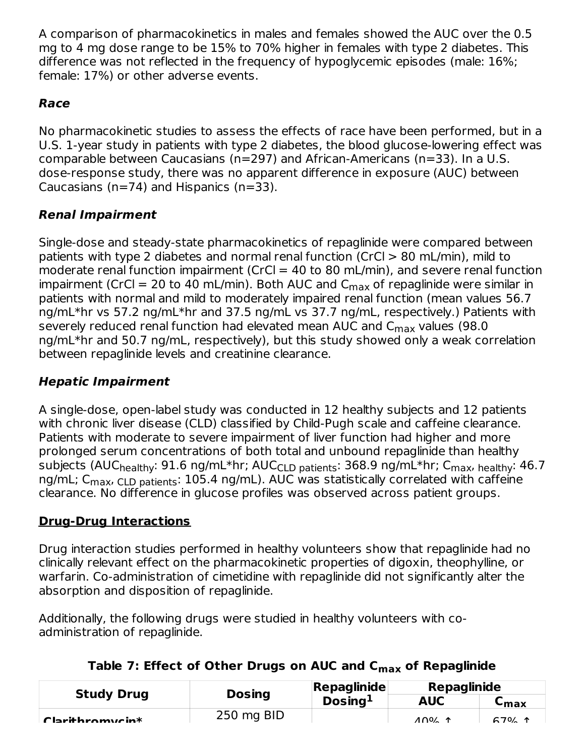A comparison of pharmacokinetics in males and females showed the AUC over the 0.5 mg to 4 mg dose range to be 15% to 70% higher in females with type 2 diabetes. This difference was not reflected in the frequency of hypoglycemic episodes (male: 16%; female: 17%) or other adverse events.

### **Race**

No pharmacokinetic studies to assess the effects of race have been performed, but in a U.S. 1-year study in patients with type 2 diabetes, the blood glucose-lowering effect was comparable between Caucasians (n=297) and African-Americans (n=33). In a U.S. dose-response study, there was no apparent difference in exposure (AUC) between Caucasians (n=74) and Hispanics (n=33).

### **Renal Impairment**

Single-dose and steady-state pharmacokinetics of repaglinide were compared between patients with type 2 diabetes and normal renal function (CrCl > 80 mL/min), mild to moderate renal function impairment (CrCl  $=$  40 to 80 mL/min), and severe renal function impairment (CrCl = 20 to 40 mL/min). Both AUC and  $\mathsf{C}_{\mathsf{max}}$  of repaglinide were similar in patients with normal and mild to moderately impaired renal function (mean values 56.7 ng/mL\*hr vs 57.2 ng/mL\*hr and 37.5 ng/mL vs 37.7 ng/mL, respectively.) Patients with severely reduced renal function had elevated mean AUC and  $\mathsf{C}_{\mathsf{max}}$  values (98.0) ng/mL\*hr and 50.7 ng/mL, respectively), but this study showed only a weak correlation between repaglinide levels and creatinine clearance.

### **Hepatic Impairment**

A single-dose, open-label study was conducted in 12 healthy subjects and 12 patients with chronic liver disease (CLD) classified by Child-Pugh scale and caffeine clearance. Patients with moderate to severe impairment of liver function had higher and more prolonged serum concentrations of both total and unbound repaglinide than healthy subjects (AUC<sub>healthy</sub>: 91.6 ng/mL\*hr; AUC<sub>CLD patients</sub>: 368.9 ng/mL\*hr; C<sub>max</sub>, <sub>healthy</sub>: 46.7 ng/mL; C<sub>max</sub>, <sub>CLD patients</sub>: 105.4 ng/mL). AUC was statistically correlated with caffeine clearance. No difference in glucose profiles was observed across patient groups.

### **Drug-Drug Interactions**

Drug interaction studies performed in healthy volunteers show that repaglinide had no clinically relevant effect on the pharmacokinetic properties of digoxin, theophylline, or warfarin. Co-administration of cimetidine with repaglinide did not significantly alter the absorption and disposition of repaglinide.

Additionally, the following drugs were studied in healthy volunteers with coadministration of repaglinide.

| Table 7: Effect of Other Drugs on AUC and C <sub>max</sub> of Repaglinide |  |  |  |
|---------------------------------------------------------------------------|--|--|--|
|---------------------------------------------------------------------------|--|--|--|

| <b>Study Drug</b> | <b>Dosing</b> | <b>Repaglinide</b>  |            | <b>Repaglinide</b> |  |
|-------------------|---------------|---------------------|------------|--------------------|--|
|                   |               | Dosing <sup>1</sup> | <b>AUC</b> | ⊾max               |  |
| Clarithromycin*   | 250 mg BID    |                     | 100/4      | $670/$ 1           |  |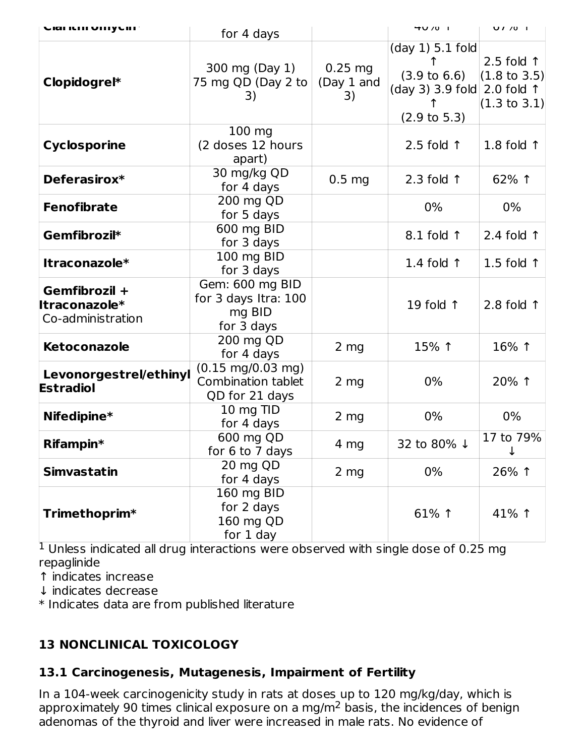| CIGI ILIII VIIIYLIII <sup>.</sup>                   | for 4 days                                                                  |                               | 40/01                                                                                                            | U / 701                                                                   |
|-----------------------------------------------------|-----------------------------------------------------------------------------|-------------------------------|------------------------------------------------------------------------------------------------------------------|---------------------------------------------------------------------------|
| Clopidogrel*                                        | 300 mg (Day 1)<br>75 mg QD (Day 2 to<br>3)                                  | $0.25$ mg<br>(Day 1 and<br>3) | $(day 1) 5.1$ fold<br>$(3.9 \text{ to } 6.6)$<br>(day 3) 3.9 fold 2.0 fold $\uparrow$<br>$(2.9 \text{ to } 5.3)$ | 2.5 fold $\uparrow$<br>$(1.8 \text{ to } 3.5)$<br>$(1.3 \text{ to } 3.1)$ |
| <b>Cyclosporine</b>                                 | 100 mg<br>(2 doses 12 hours<br>apart)                                       |                               | 2.5 fold $\uparrow$                                                                                              | 1.8 fold $\uparrow$                                                       |
| Deferasirox*                                        | 30 mg/kg QD<br>for 4 days                                                   | 0.5 <sub>mg</sub>             | 2.3 fold $\uparrow$                                                                                              | 62% 1                                                                     |
| <b>Fenofibrate</b>                                  | 200 mg QD<br>for 5 days                                                     |                               | 0%                                                                                                               | 0%                                                                        |
| Gemfibrozil*                                        | 600 mg BID<br>for 3 days                                                    |                               | $8.1$ fold $\uparrow$                                                                                            | 2.4 fold $\uparrow$                                                       |
| Itraconazole*                                       | 100 mg BID<br>for 3 days                                                    |                               | 1.4 fold $\uparrow$                                                                                              | 1.5 fold $\uparrow$                                                       |
| Gemfibrozil +<br>Itraconazole*<br>Co-administration | Gem: 600 mg BID<br>for 3 days Itra: 100<br>mg BID<br>for 3 days             |                               | 19 fold $\uparrow$                                                                                               | 2.8 fold $\uparrow$                                                       |
| Ketoconazole                                        | 200 mg QD<br>for 4 days                                                     | $2 \, mg$                     | 15% 1                                                                                                            | 16% 1                                                                     |
| Levonorgestrel/ethinyl<br><b>Estradiol</b>          | $(0.15 \text{ mg}/0.03 \text{ mg})$<br>Combination tablet<br>QD for 21 days | $2 \, mg$                     | 0%                                                                                                               | 20% 1                                                                     |
| Nifedipine*                                         | 10 mg TID<br>for 4 days                                                     | $2 \, mg$                     | 0%                                                                                                               | 0%                                                                        |
| Rifampin*                                           | 600 mg QD<br>for 6 to 7 days                                                | 4 mg                          | 32 to 80% ↓                                                                                                      | 17 to 79%<br>$\downarrow$                                                 |
| <b>Simvastatin</b>                                  | 20 mg QD<br>for 4 days                                                      | 2 mg                          | $0\%$                                                                                                            | 26% 1                                                                     |
| Trimethoprim*                                       | 160 mg BID<br>for 2 days<br>160 mg QD<br>for 1 day                          |                               | 61% 1                                                                                                            | 41% 1                                                                     |

 $<sup>1</sup>$  Unless indicated all drug interactions were observed with single dose of 0.25 mg</sup> repaglinide

↑ indicates increase

↓ indicates decrease

\* Indicates data are from published literature

### **13 NONCLINICAL TOXICOLOGY**

### **13.1 Carcinogenesis, Mutagenesis, Impairment of Fertility**

In a 104-week carcinogenicity study in rats at doses up to 120 mg/kg/day, which is approximately 90 times clinical exposure on a mg/m<sup>2</sup> basis, the incidences of benign adenomas of the thyroid and liver were increased in male rats. No evidence of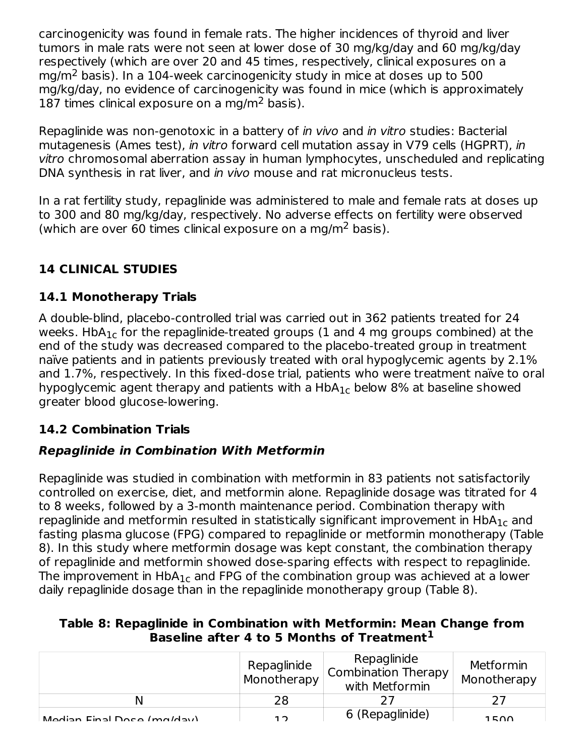carcinogenicity was found in female rats. The higher incidences of thyroid and liver tumors in male rats were not seen at lower dose of 30 mg/kg/day and 60 mg/kg/day respectively (which are over 20 and 45 times, respectively, clinical exposures on a mg/m<sup>2</sup> basis). In a 104-week carcinogenicity study in mice at doses up to 500 mg/kg/day, no evidence of carcinogenicity was found in mice (which is approximately 187 times clinical exposure on a mg/m<sup>2</sup> basis).

Repaglinide was non-genotoxic in a battery of in vivo and in vitro studies: Bacterial mutagenesis (Ames test), in vitro forward cell mutation assay in V79 cells (HGPRT), in vitro chromosomal aberration assay in human lymphocytes, unscheduled and replicating DNA synthesis in rat liver, and in vivo mouse and rat micronucleus tests.

In a rat fertility study, repaglinide was administered to male and female rats at doses up to 300 and 80 mg/kg/day, respectively. No adverse effects on fertility were observed (which are over 60 times clinical exposure on a mg/m<sup>2</sup> basis).

# **14 CLINICAL STUDIES**

### **14.1 Monotherapy Trials**

A double-blind, placebo-controlled trial was carried out in 362 patients treated for 24 weeks. HbA $_{\rm 1c}$  for the repaglinide-treated groups (1 and 4 mg groups combined) at the end of the study was decreased compared to the placebo-treated group in treatment naïve patients and in patients previously treated with oral hypoglycemic agents by 2.1% and 1.7%, respectively. In this fixed-dose trial, patients who were treatment naïve to oral hypoglycemic agent therapy and patients with a  $H\!bA_{1c}$  below 8% at baseline showed greater blood glucose-lowering.

### **14.2 Combination Trials**

### **Repaglinide in Combination With Metformin**

Repaglinide was studied in combination with metformin in 83 patients not satisfactorily controlled on exercise, diet, and metformin alone. Repaglinide dosage was titrated for 4 to 8 weeks, followed by a 3-month maintenance period. Combination therapy with repaglinide and metformin resulted in statistically significant improvement in  $\mathsf{HbA}_{1\mathsf{c}}$  and fasting plasma glucose (FPG) compared to repaglinide or metformin monotherapy (Table 8). In this study where metformin dosage was kept constant, the combination therapy of repaglinide and metformin showed dose-sparing effects with respect to repaglinide. The improvement in  $\mathsf{HbA}_{1\mathsf{c}}$  and FPG of the combination group was achieved at a lower daily repaglinide dosage than in the repaglinide monotherapy group (Table 8).

| Table 8: Repaglinide in Combination with Metformin: Mean Change from |                                                |  |
|----------------------------------------------------------------------|------------------------------------------------|--|
|                                                                      | Baseline after 4 to 5 Months of Treatment $^1$ |  |

|                            | Repaglinide<br>Monotherapy | Repaglinide<br>Combination Therapy<br>with Metformin | Metformin<br>Monotherapy |
|----------------------------|----------------------------|------------------------------------------------------|--------------------------|
|                            | 28                         |                                                      |                          |
| Modian Einal Doco (maldau) | າາ                         | 6 (Repaglinide)                                      | 1 E A A                  |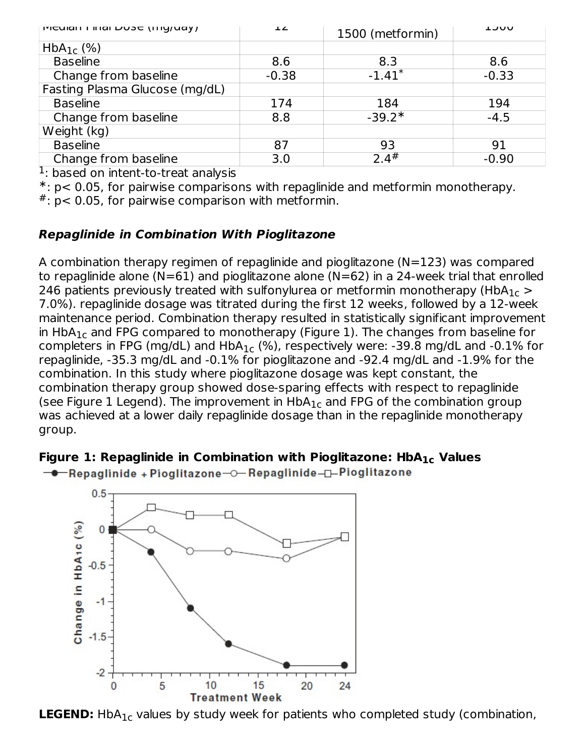| ן ויוכטומו ו ווומו טטאכ (וווען עמץ ו | $\perp$ | 1500 (metformin)     | <b>UUCL</b> |
|--------------------------------------|---------|----------------------|-------------|
| $HbA_{1c}$ (%)                       |         |                      |             |
| <b>Baseline</b>                      | 8.6     | 8.3                  | 8.6         |
| Change from baseline                 | $-0.38$ | $-1.41$ <sup>*</sup> | $-0.33$     |
| Fasting Plasma Glucose (mg/dL)       |         |                      |             |
| <b>Baseline</b>                      | 174     | 184                  | 194         |
| Change from baseline                 | 8.8     | $-39.2*$             | $-4.5$      |
| Weight (kg)                          |         |                      |             |
| <b>Baseline</b>                      | 87      | 93                   | 91          |
| Change from baseline                 | 3.0     | 2.4#                 | $-0.90$     |

<sup>1</sup>: based on intent-to-treat analysis

: p< 0.05, for pairwise comparisons with repaglinide and metformin monotherapy. ∗

 $*$ : p< 0.05, for pairwise comparison with metformin.

### **Repaglinide in Combination With Pioglitazone**

A combination therapy regimen of repaglinide and pioglitazone (N=123) was compared to repaglinide alone (N=61) and pioglitazone alone (N=62) in a 24-week trial that enrolled 246 patients previously treated with sulfonylurea or metformin monotherapy (HbA $_{\rm 1c}$   $>$ 7.0%). repaglinide dosage was titrated during the first 12 weeks, followed by a 12-week maintenance period. Combination therapy resulted in statistically significant improvement in  $\mathsf{HbA_{1c}}$  and FPG compared to monotherapy (Figure 1). The changes from baseline for completers in FPG (mg/dL) and  $HbA_{1c}$  (%), respectively were: -39.8 mg/dL and -0.1% for repaglinide, -35.3 mg/dL and -0.1% for pioglitazone and -92.4 mg/dL and -1.9% for the combination. In this study where pioglitazone dosage was kept constant, the combination therapy group showed dose-sparing effects with respect to repaglinide (see Figure 1 Legend). The improvement in  $HbA_{1c}$  and FPG of the combination group was achieved at a lower daily repaglinide dosage than in the repaglinide monotherapy group.

### **Figure 1: Repaglinide in Combination with Pioglitazone: HbA Values 1c**





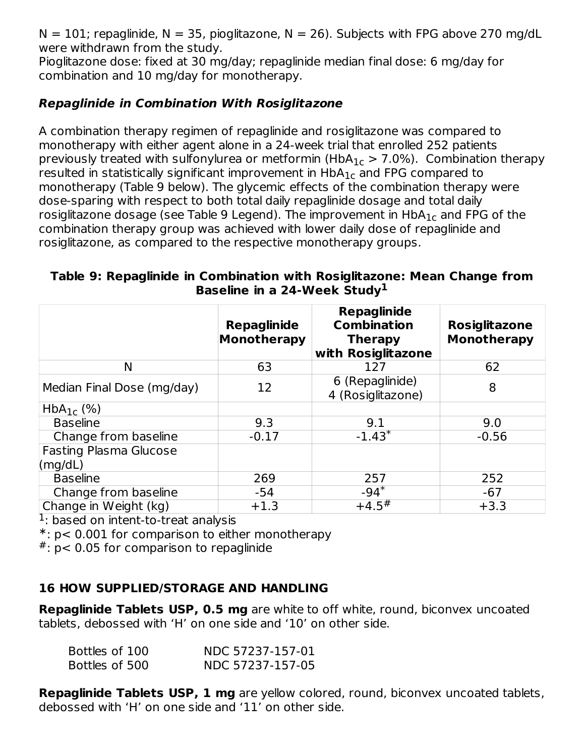N = 101; repaglinide, N = 35, pioglitazone, N = 26). Subjects with FPG above 270 mg/dL were withdrawn from the study.

Pioglitazone dose: fixed at 30 mg/day; repaglinide median final dose: 6 mg/day for combination and 10 mg/day for monotherapy.

### **Repaglinide in Combination With Rosiglitazone**

A combination therapy regimen of repaglinide and rosiglitazone was compared to monotherapy with either agent alone in a 24-week trial that enrolled 252 patients previously treated with sulfonylurea or metformin (HbA $_{1c}$   $>$  7.0%). Combination therapy resulted in statistically significant improvement in  $\mathsf{HbA_{1c}}$  and FPG compared to monotherapy (Table 9 below). The glycemic effects of the combination therapy were dose-sparing with respect to both total daily repaglinide dosage and total daily rosiglitazone dosage (see Table 9 Legend). The improvement in  $\mathsf{HbA}_{1\mathsf{c}}$  and FPG of the combination therapy group was achieved with lower daily dose of repaglinide and rosiglitazone, as compared to the respective monotherapy groups.

#### **Table 9: Repaglinide in Combination with Rosiglitazone: Mean Change from Baseline in a 24-Week Study 1**

|                                          | <b>Repaglinide</b><br><b>Monotherapy</b> | <b>Repaglinide</b><br><b>Combination</b><br><b>Therapy</b><br>with Rosiglitazone | <b>Rosiglitazone</b><br><b>Monotherapy</b> |
|------------------------------------------|------------------------------------------|----------------------------------------------------------------------------------|--------------------------------------------|
| Ν                                        | 63                                       | 127                                                                              | 62                                         |
| Median Final Dose (mg/day)               | 12                                       | 6 (Repaglinide)<br>4 (Rosiglitazone)                                             | 8                                          |
| $HbA_{1c}$ (%)                           |                                          |                                                                                  |                                            |
| <b>Baseline</b>                          | 9.3                                      | 9.1                                                                              | 9.0                                        |
| Change from baseline                     | $-0.17$                                  | $-1.43*$                                                                         | $-0.56$                                    |
| <b>Fasting Plasma Glucose</b><br>(mg/dL) |                                          |                                                                                  |                                            |
| <b>Baseline</b>                          | 269                                      | 257                                                                              | 252                                        |
| Change from baseline                     | -54                                      | $-94*$                                                                           | $-67$                                      |
| Change in Weight (kg)                    | $+1.3$                                   | $+4.5$ <sup>#</sup>                                                              | $+3.3$                                     |

<sup>1</sup>: based on intent-to-treat analysis

: p< 0.001 for comparison to either monotherapy ∗

 $*$ : p< 0.05 for comparison to repaglinide

### **16 HOW SUPPLIED/STORAGE AND HANDLING**

**Repaglinide Tablets USP, 0.5 mg** are white to off white, round, biconvex uncoated tablets, debossed with 'H' on one side and '10' on other side.

| Bottles of 100 | NDC 57237-157-01 |
|----------------|------------------|
| Bottles of 500 | NDC 57237-157-05 |

**Repaglinide Tablets USP, 1 mg** are yellow colored, round, biconvex uncoated tablets, debossed with 'H' on one side and '11' on other side.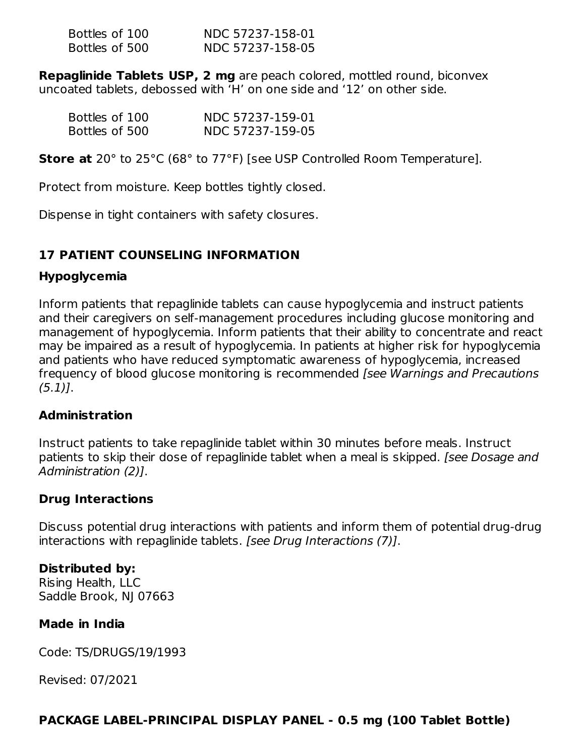| Bottles of 100 | NDC 57237-158-01 |
|----------------|------------------|
| Bottles of 500 | NDC 57237-158-05 |

**Repaglinide Tablets USP, 2 mg** are peach colored, mottled round, biconvex uncoated tablets, debossed with 'H' on one side and '12' on other side.

| Bottles of 100 | NDC 57237-159-01 |
|----------------|------------------|
| Bottles of 500 | NDC 57237-159-05 |

**Store at** 20° to 25°C (68° to 77°F) [see USP Controlled Room Temperature].

Protect from moisture. Keep bottles tightly closed.

Dispense in tight containers with safety closures.

### **17 PATIENT COUNSELING INFORMATION**

### **Hypoglycemia**

Inform patients that repaglinide tablets can cause hypoglycemia and instruct patients and their caregivers on self-management procedures including glucose monitoring and management of hypoglycemia. Inform patients that their ability to concentrate and react may be impaired as a result of hypoglycemia. In patients at higher risk for hypoglycemia and patients who have reduced symptomatic awareness of hypoglycemia, increased frequency of blood glucose monitoring is recommended *[see Warnings and Precautions*  $(5.1)$ ].

### **Administration**

Instruct patients to take repaglinide tablet within 30 minutes before meals. Instruct patients to skip their dose of repaglinide tablet when a meal is skipped. *[see Dosage and* Administration (2)].

### **Drug Interactions**

Discuss potential drug interactions with patients and inform them of potential drug-drug interactions with repaglinide tablets. [see Drug Interactions (7)].

### **Distributed by:**

Rising Health, LLC Saddle Brook, NJ 07663

### **Made in India**

Code: TS/DRUGS/19/1993

Revised: 07/2021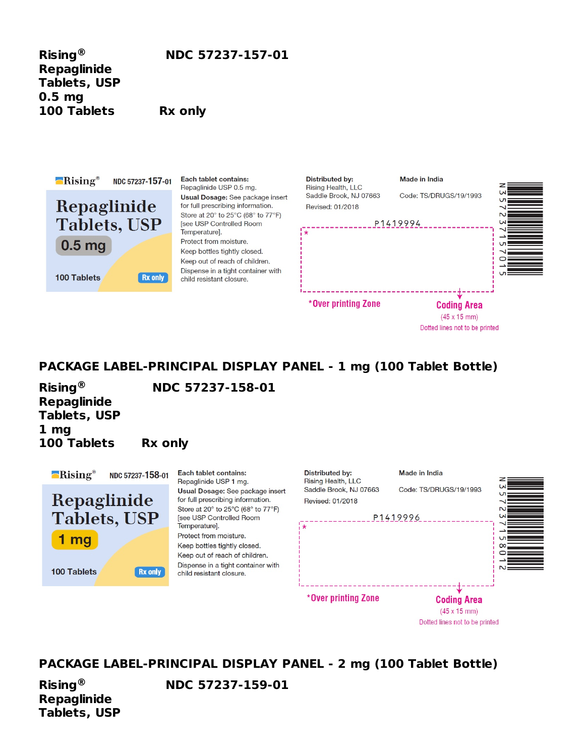**Repaglinide Tablets, USP 0.5 mg 100 Tablets Rx only ®**

**Rising NDC 57237-157-01**



Each tablet contains: Repaglinide USP 0.5 mg. **Usual Dosage:** See package insert for full prescribing information. Store at 20° to 25°C (68° to 77°F) [see USP Controlled Room Temperature]. Protect from moisture. Keep bottles tightly closed. Keep out of reach of children. Dispense in a tight container with child resistant closure.



Dotted lines not to be printed

Dotted lines not to be printed

### **PACKAGE LABEL-PRINCIPAL DISPLAY PANEL - 1 mg (100 Tablet Bottle)**

**Repaglinide Tablets, USP 1 mg 100 Tablets Rx only ®**

**Rising NDC 57237-158-01**



**PACKAGE LABEL-PRINCIPAL DISPLAY PANEL - 2 mg (100 Tablet Bottle)**

**Repaglinide Tablets, USP ®**

**Rising NDC 57237-159-01**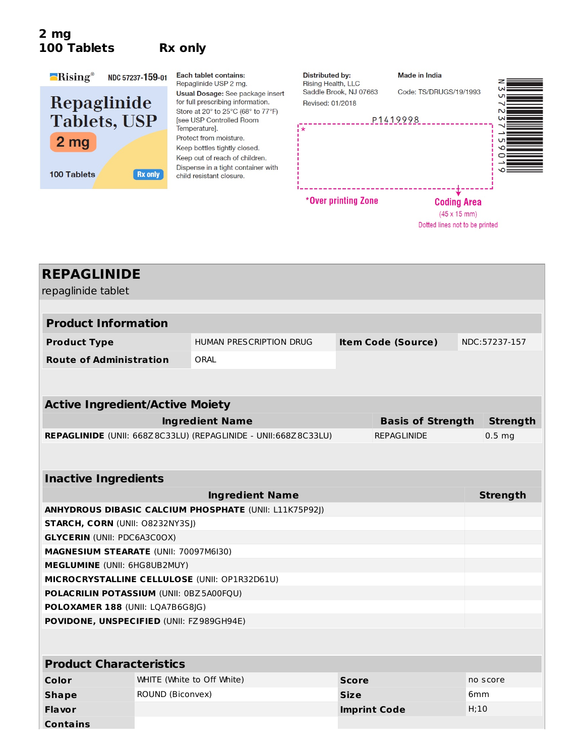### **2 mg 100 Tablets Rx only**



Each tablet contains: Repaglinide USP 2 mg. Usual Dosage: See package insert for full prescribing information. Store at 20° to 25°C (68° to 77°F) [see USP Controlled Room Temperature]. Protect from moisture. Keep bottles tightly closed. Keep out of reach of children. Dispense in a tight container with child resistant closure.



| <b>REPAGLINIDE</b>                            |                            |                                                                |              |                           |                   |
|-----------------------------------------------|----------------------------|----------------------------------------------------------------|--------------|---------------------------|-------------------|
| repaglinide tablet                            |                            |                                                                |              |                           |                   |
|                                               |                            |                                                                |              |                           |                   |
| <b>Product Information</b>                    |                            |                                                                |              |                           |                   |
| <b>Product Type</b>                           |                            | <b>HUMAN PRESCRIPTION DRUG</b>                                 |              | <b>Item Code (Source)</b> | NDC:57237-157     |
| <b>Route of Administration</b>                |                            | ORAL                                                           |              |                           |                   |
|                                               |                            |                                                                |              |                           |                   |
| <b>Active Ingredient/Active Moiety</b>        |                            |                                                                |              |                           |                   |
|                                               |                            | <b>Ingredient Name</b>                                         |              | <b>Basis of Strength</b>  | <b>Strength</b>   |
|                                               |                            | REPAGLINIDE (UNII: 668Z8C33LU) (REPAGLINIDE - UNII:668Z8C33LU) |              | <b>REPAGLINIDE</b>        | 0.5 <sub>ma</sub> |
|                                               |                            |                                                                |              |                           |                   |
|                                               |                            |                                                                |              |                           |                   |
| <b>Inactive Ingredients</b>                   |                            |                                                                |              |                           |                   |
|                                               |                            | <b>Ingredient Name</b>                                         |              |                           | <b>Strength</b>   |
|                                               |                            | ANHYDROUS DIBASIC CALCIUM PHOSPHATE (UNII: L11K75P92J)         |              |                           |                   |
| <b>STARCH, CORN (UNII: O8232NY3SJ)</b>        |                            |                                                                |              |                           |                   |
| <b>GLYCERIN (UNII: PDC6A3C0OX)</b>            |                            |                                                                |              |                           |                   |
| MAGNESIUM STEARATE (UNII: 70097M6I30)         |                            |                                                                |              |                           |                   |
| MEGLUMINE (UNII: 6HG8UB2MUY)                  |                            |                                                                |              |                           |                   |
| MICROCRYSTALLINE CELLULOSE (UNII: OP1R32D61U) |                            |                                                                |              |                           |                   |
| POLACRILIN POTASSIUM (UNII: 0BZ5A00FQU)       |                            |                                                                |              |                           |                   |
| POLOXAMER 188 (UNII: LQA7B6G8JG)              |                            |                                                                |              |                           |                   |
| POVIDONE, UNSPECIFIED (UNII: FZ989GH94E)      |                            |                                                                |              |                           |                   |
|                                               |                            |                                                                |              |                           |                   |
| <b>Product Characteristics</b>                |                            |                                                                |              |                           |                   |
| <b>Color</b>                                  | WHITE (White to Off White) |                                                                | <b>Score</b> |                           | no score          |
| <b>Shape</b>                                  | ROUND (Biconvex)           |                                                                | <b>Size</b>  |                           | 6mm               |
| Flavor                                        |                            |                                                                |              | <b>Imprint Code</b>       | H;10              |
| <b>Contains</b>                               |                            |                                                                |              |                           |                   |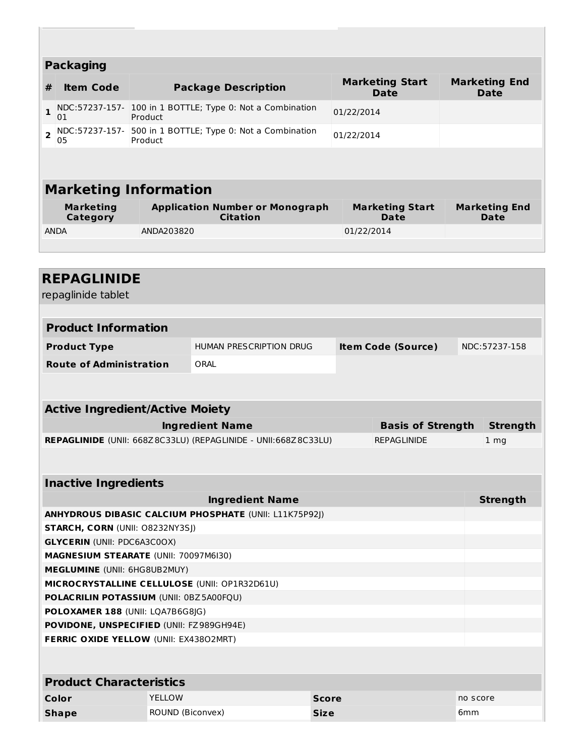|                | <b>Packaging</b>                                |                  |                                                                |              |                                       |     |                                     |
|----------------|-------------------------------------------------|------------------|----------------------------------------------------------------|--------------|---------------------------------------|-----|-------------------------------------|
|                |                                                 |                  |                                                                |              |                                       |     |                                     |
| #              | <b>Item Code</b>                                |                  | <b>Package Description</b>                                     |              | <b>Marketing Start</b><br><b>Date</b> |     | <b>Marketing End</b><br><b>Date</b> |
| $\mathbf{1}$   | 01                                              | Product          | NDC:57237-157- 100 in 1 BOTTLE; Type 0: Not a Combination      |              | 01/22/2014                            |     |                                     |
| $\overline{2}$ | NDC:57237-157-<br>05                            | Product          | 500 in 1 BOTTLE; Type 0: Not a Combination                     |              | 01/22/2014                            |     |                                     |
|                |                                                 |                  |                                                                |              |                                       |     |                                     |
|                | <b>Marketing Information</b>                    |                  |                                                                |              |                                       |     |                                     |
|                | <b>Marketing</b>                                |                  | <b>Application Number or Monograph</b>                         |              | <b>Marketing Start</b>                |     | <b>Marketing End</b>                |
|                | <b>Category</b>                                 |                  | <b>Citation</b>                                                |              | Date                                  |     | Date                                |
|                | ANDA                                            | ANDA203820       |                                                                |              | 01/22/2014                            |     |                                     |
|                |                                                 |                  |                                                                |              |                                       |     |                                     |
|                |                                                 |                  |                                                                |              |                                       |     |                                     |
|                | <b>REPAGLINIDE</b>                              |                  |                                                                |              |                                       |     |                                     |
|                | repaglinide tablet                              |                  |                                                                |              |                                       |     |                                     |
|                |                                                 |                  |                                                                |              |                                       |     |                                     |
|                | <b>Product Information</b>                      |                  |                                                                |              |                                       |     |                                     |
|                | <b>Product Type</b>                             |                  | HUMAN PRESCRIPTION DRUG                                        |              | <b>Item Code (Source)</b>             |     | NDC:57237-158                       |
|                | <b>Route of Administration</b>                  |                  | ORAL                                                           |              |                                       |     |                                     |
|                |                                                 |                  |                                                                |              |                                       |     |                                     |
|                |                                                 |                  |                                                                |              |                                       |     |                                     |
|                | <b>Active Ingredient/Active Moiety</b>          |                  |                                                                |              |                                       |     |                                     |
|                |                                                 |                  | <b>Ingredient Name</b>                                         |              | <b>Basis of Strength</b>              |     | <b>Strength</b>                     |
|                |                                                 |                  | REPAGLINIDE (UNII: 668Z8C33LU) (REPAGLINIDE - UNII:668Z8C33LU) |              | <b>REPAGLINIDE</b>                    |     | 1 mg                                |
|                |                                                 |                  |                                                                |              |                                       |     |                                     |
|                | <b>Inactive Ingredients</b>                     |                  |                                                                |              |                                       |     |                                     |
|                |                                                 |                  | <b>Ingredient Name</b>                                         |              |                                       |     | <b>Strength</b>                     |
|                |                                                 |                  | <b>ANHYDROUS DIBASIC CALCIUM PHOSPHATE (UNII: L11K75P92J)</b>  |              |                                       |     |                                     |
|                | <b>STARCH, CORN (UNII: O8232NY3SJ)</b>          |                  |                                                                |              |                                       |     |                                     |
|                | <b>GLYCERIN (UNII: PDC6A3C0OX)</b>              |                  |                                                                |              |                                       |     |                                     |
|                | MAGNESIUM STEARATE (UNII: 70097M6I30)           |                  |                                                                |              |                                       |     |                                     |
|                | <b>MEGLUMINE</b> (UNII: 6HG8UB2MUY)             |                  |                                                                |              |                                       |     |                                     |
|                |                                                 |                  | MICROCRYSTALLINE CELLULOSE (UNII: OP1R32D61U)                  |              |                                       |     |                                     |
|                | <b>POLACRILIN POTASSIUM (UNII: 0BZ5A00FQU)</b>  |                  |                                                                |              |                                       |     |                                     |
|                | POLOXAMER 188 (UNII: LQA7B6G8JG)                |                  |                                                                |              |                                       |     |                                     |
|                | <b>POVIDONE, UNSPECIFIED (UNII: FZ989GH94E)</b> |                  |                                                                |              |                                       |     |                                     |
|                | <b>FERRIC OXIDE YELLOW (UNII: EX43802MRT)</b>   |                  |                                                                |              |                                       |     |                                     |
|                |                                                 |                  |                                                                |              |                                       |     |                                     |
|                | <b>Product Characteristics</b>                  |                  |                                                                |              |                                       |     |                                     |
|                | Color                                           | YELLOW           |                                                                | <b>Score</b> |                                       |     | no score                            |
|                | <b>Shape</b>                                    | ROUND (Biconvex) |                                                                | <b>Size</b>  |                                       | 6mm |                                     |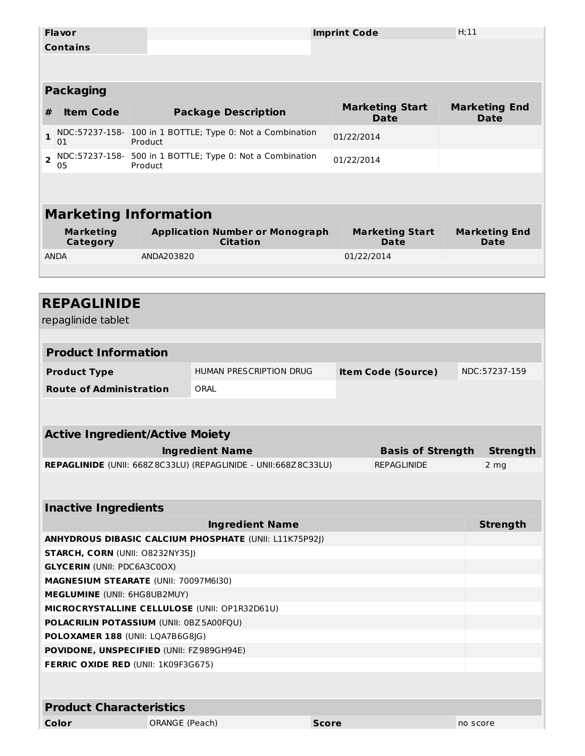|                         | <b>Flavor</b>                                 |                |                                                                |              | <b>Imprint Code</b>       | H;11     |                      |
|-------------------------|-----------------------------------------------|----------------|----------------------------------------------------------------|--------------|---------------------------|----------|----------------------|
|                         | <b>Contains</b>                               |                |                                                                |              |                           |          |                      |
|                         |                                               |                |                                                                |              |                           |          |                      |
|                         |                                               |                |                                                                |              |                           |          |                      |
|                         | <b>Packaging</b>                              |                |                                                                |              |                           |          |                      |
|                         |                                               |                |                                                                |              | <b>Marketing Start</b>    |          | <b>Marketing End</b> |
| #                       | <b>Item Code</b>                              |                | <b>Package Description</b>                                     |              | <b>Date</b>               |          | <b>Date</b>          |
| 1                       |                                               |                | NDC:57237-158- 100 in 1 BOTTLE; Type 0: Not a Combination      |              | 01/22/2014                |          |                      |
|                         | 01<br>NDC:57237-158-                          | Product        | 500 in 1 BOTTLE; Type 0: Not a Combination                     |              |                           |          |                      |
| $\overline{\mathbf{2}}$ | 05                                            | Product        |                                                                |              | 01/22/2014                |          |                      |
|                         |                                               |                |                                                                |              |                           |          |                      |
|                         |                                               |                |                                                                |              |                           |          |                      |
|                         | <b>Marketing Information</b>                  |                |                                                                |              |                           |          |                      |
|                         | <b>Marketing</b>                              |                | <b>Application Number or Monograph</b>                         |              | <b>Marketing Start</b>    |          | <b>Marketing End</b> |
|                         | Category                                      |                | <b>Citation</b>                                                |              | <b>Date</b>               |          | <b>Date</b>          |
| <b>ANDA</b>             |                                               | ANDA203820     |                                                                |              | 01/22/2014                |          |                      |
|                         |                                               |                |                                                                |              |                           |          |                      |
|                         |                                               |                |                                                                |              |                           |          |                      |
|                         | <b>REPAGLINIDE</b>                            |                |                                                                |              |                           |          |                      |
|                         | repaglinide tablet                            |                |                                                                |              |                           |          |                      |
|                         |                                               |                |                                                                |              |                           |          |                      |
|                         | <b>Product Information</b>                    |                |                                                                |              |                           |          |                      |
|                         |                                               |                |                                                                |              |                           |          |                      |
|                         | <b>Product Type</b>                           |                | HUMAN PRESCRIPTION DRUG                                        |              | <b>Item Code (Source)</b> |          | NDC:57237-159        |
|                         | <b>Route of Administration</b>                |                | ORAL                                                           |              |                           |          |                      |
|                         |                                               |                |                                                                |              |                           |          |                      |
|                         |                                               |                |                                                                |              |                           |          |                      |
|                         | <b>Active Ingredient/Active Moiety</b>        |                |                                                                |              |                           |          |                      |
|                         |                                               |                | <b>Ingredient Name</b>                                         |              | <b>Basis of Strength</b>  |          | <b>Strength</b>      |
|                         |                                               |                | REPAGLINIDE (UNII: 668Z8C33LU) (REPAGLINIDE - UNII:668Z8C33LU) |              | <b>REPAGLINIDE</b>        |          | 2 mg                 |
|                         |                                               |                |                                                                |              |                           |          |                      |
|                         |                                               |                |                                                                |              |                           |          |                      |
|                         | <b>Inactive Ingredients</b>                   |                |                                                                |              |                           |          |                      |
|                         |                                               |                | <b>Ingredient Name</b>                                         |              |                           |          | <b>Strength</b>      |
|                         |                                               |                | ANHYDROUS DIBASIC CALCIUM PHOSPHATE (UNII: L11K75P92J)         |              |                           |          |                      |
|                         | STARCH, CORN (UNII: 08232NY3SJ)               |                |                                                                |              |                           |          |                      |
|                         | <b>GLYCERIN (UNII: PDC6A3C0OX)</b>            |                |                                                                |              |                           |          |                      |
|                         | MAGNESIUM STEARATE (UNII: 70097M6I30)         |                |                                                                |              |                           |          |                      |
|                         | MEGLUMINE (UNII: 6HG8UB2MUY)                  |                |                                                                |              |                           |          |                      |
|                         | MICROCRYSTALLINE CELLULOSE (UNII: OP1R32D61U) |                |                                                                |              |                           |          |                      |
|                         | POLACRILIN POTASSIUM (UNII: 0BZ5A00FQU)       |                |                                                                |              |                           |          |                      |
|                         | POLOXAMER 188 (UNII: LQA7B6G8JG)              |                |                                                                |              |                           |          |                      |
|                         | POVIDONE, UNSPECIFIED (UNII: FZ989GH94E)      |                |                                                                |              |                           |          |                      |
|                         | FERRIC OXIDE RED (UNII: 1K09F3G675)           |                |                                                                |              |                           |          |                      |
|                         |                                               |                |                                                                |              |                           |          |                      |
|                         |                                               |                |                                                                |              |                           |          |                      |
|                         | <b>Product Characteristics</b>                |                |                                                                |              |                           |          |                      |
|                         | Color                                         | ORANGE (Peach) |                                                                | <b>Score</b> |                           | no score |                      |